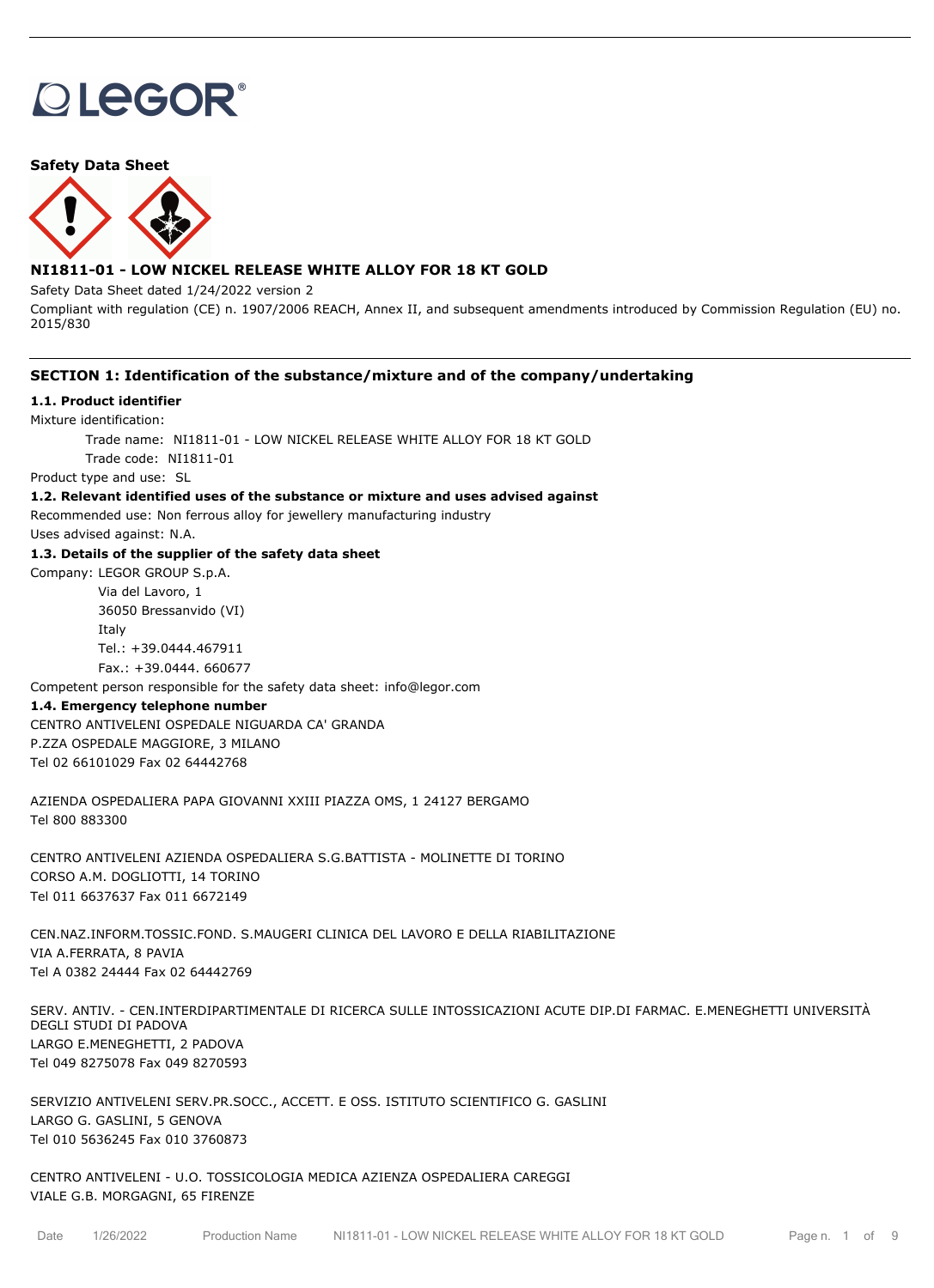# **OLEGOR®**

## **Safety Data Sheet**



## **NI1811-01 - LOW NICKEL RELEASE WHITE ALLOY FOR 18 KT GOLD**

Safety Data Sheet dated 1/24/2022 version 2

Compliant with regulation (CE) n. 1907/2006 REACH, Annex II, and subsequent amendments introduced by Commission Regulation (EU) no. 2015/830

## **SECTION 1: Identification of the substance/mixture and of the company/undertaking**

## **1.1. Product identifier**

Mixture identification:

Trade name: NI1811-01 - LOW NICKEL RELEASE WHITE ALLOY FOR 18 KT GOLD Trade code: NI1811-01

Product type and use: SL

## **1.2. Relevant identified uses of the substance or mixture and uses advised against**

Recommended use: Non ferrous alloy for jewellery manufacturing industry

Uses advised against: N.A.

## **1.3. Details of the supplier of the safety data sheet**

Company: LEGOR GROUP S.p.A.

Via del Lavoro, 1 36050 Bressanvido (VI) Italy Tel.: +39.0444.467911 Fax.: +39.0444. 660677

Competent person responsible for the safety data sheet: info@legor.com

### **1.4. Emergency telephone number**

CENTRO ANTIVELENI OSPEDALE NIGUARDA CA' GRANDA P.ZZA OSPEDALE MAGGIORE, 3 MILANO Tel 02 66101029 Fax 02 64442768

AZIENDA OSPEDALIERA PAPA GIOVANNI XXIII PIAZZA OMS, 1 24127 BERGAMO Tel 800 883300

CENTRO ANTIVELENI AZIENDA OSPEDALIERA S.G.BATTISTA - MOLINETTE DI TORINO CORSO A.M. DOGLIOTTI, 14 TORINO Tel 011 6637637 Fax 011 6672149

CEN.NAZ.INFORM.TOSSIC.FOND. S.MAUGERI CLINICA DEL LAVORO E DELLA RIABILITAZIONE VIA A.FERRATA, 8 PAVIA Tel A 0382 24444 Fax 02 64442769

SERV. ANTIV. - CEN.INTERDIPARTIMENTALE DI RICERCA SULLE INTOSSICAZIONI ACUTE DIP.DI FARMAC. E.MENEGHETTI UNIVERSITÀ DEGLI STUDI DI PADOVA LARGO E.MENEGHETTI, 2 PADOVA Tel 049 8275078 Fax 049 8270593

SERVIZIO ANTIVELENI SERV.PR.SOCC., ACCETT. E OSS. ISTITUTO SCIENTIFICO G. GASLINI LARGO G. GASLINI, 5 GENOVA Tel 010 5636245 Fax 010 3760873

CENTRO ANTIVELENI - U.O. TOSSICOLOGIA MEDICA AZIENZA OSPEDALIERA CAREGGI VIALE G.B. MORGAGNI, 65 FIRENZE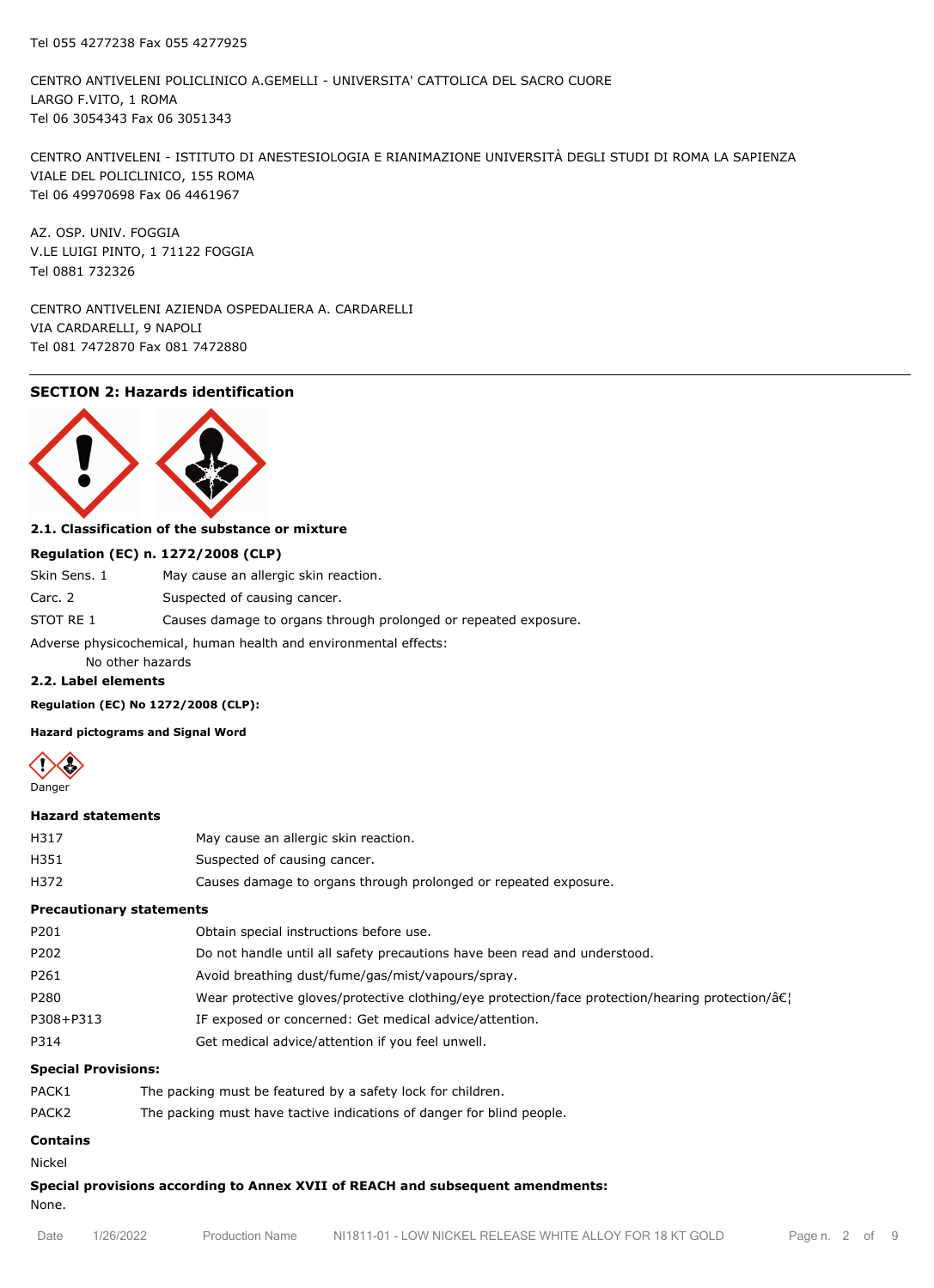CENTRO ANTIVELENI POLICLINICO A.GEMELLI - UNIVERSITA' CATTOLICA DEL SACRO CUORE LARGO F.VITO, 1 ROMA Tel 06 3054343 Fax 06 3051343

CENTRO ANTIVELENI - ISTITUTO DI ANESTESIOLOGIA E RIANIMAZIONE UNIVERSITÀ DEGLI STUDI DI ROMA LA SAPIENZA VIALE DEL POLICLINICO, 155 ROMA Tel 06 49970698 Fax 06 4461967

AZ. OSP. UNIV. FOGGIA V.LE LUIGI PINTO, 1 71122 FOGGIA Tel 0881 732326

CENTRO ANTIVELENI AZIENDA OSPEDALIERA A. CARDARELLI VIA CARDARELLI, 9 NAPOLI Tel 081 7472870 Fax 081 7472880

## **SECTION 2: Hazards identification**



## **2.1. Classification of the substance or mixture**

#### **Regulation (EC) n. 1272/2008 (CLP)**

| Skin Sens. 1                                                     | May cause an allergic skin reaction.                            |  |
|------------------------------------------------------------------|-----------------------------------------------------------------|--|
| Carc. 2                                                          | Suspected of causing cancer.                                    |  |
| STOT RE 1                                                        | Causes damage to organs through prolonged or repeated exposure. |  |
| Adverse physicochemical, human health and environmental effects: |                                                                 |  |

No other hazards

## **2.2. Label elements**

**Regulation (EC) No 1272/2008 (CLP):**

#### **Hazard pictograms and Signal Word**



#### **Hazard statements**

| H317 | May cause an allergic skin reaction.                            |
|------|-----------------------------------------------------------------|
| H351 | Suspected of causing cancer.                                    |
| H372 | Causes damage to organs through prolonged or repeated exposure. |

#### **Precautionary statements**

| P201      | Obtain special instructions before use.                                                                     |
|-----------|-------------------------------------------------------------------------------------------------------------|
| P202      | Do not handle until all safety precautions have been read and understood.                                   |
| P261      | Avoid breathing dust/fume/gas/mist/vapours/spray.                                                           |
| P280      | Wear protective gloves/protective clothing/eye protection/face protection/hearing protection/â $\epsilon$ ! |
| P308+P313 | IF exposed or concerned: Get medical advice/attention.                                                      |
| P314      | Get medical advice/attention if you feel unwell.                                                            |

#### **Special Provisions:**

| PACK1 | The packing must be featured by a safety lock for children.           |
|-------|-----------------------------------------------------------------------|
| PACK2 | The packing must have tactive indications of danger for blind people. |

## **Contains** Nickel

## **Special provisions according to Annex XVII of REACH and subsequent amendments:**

None.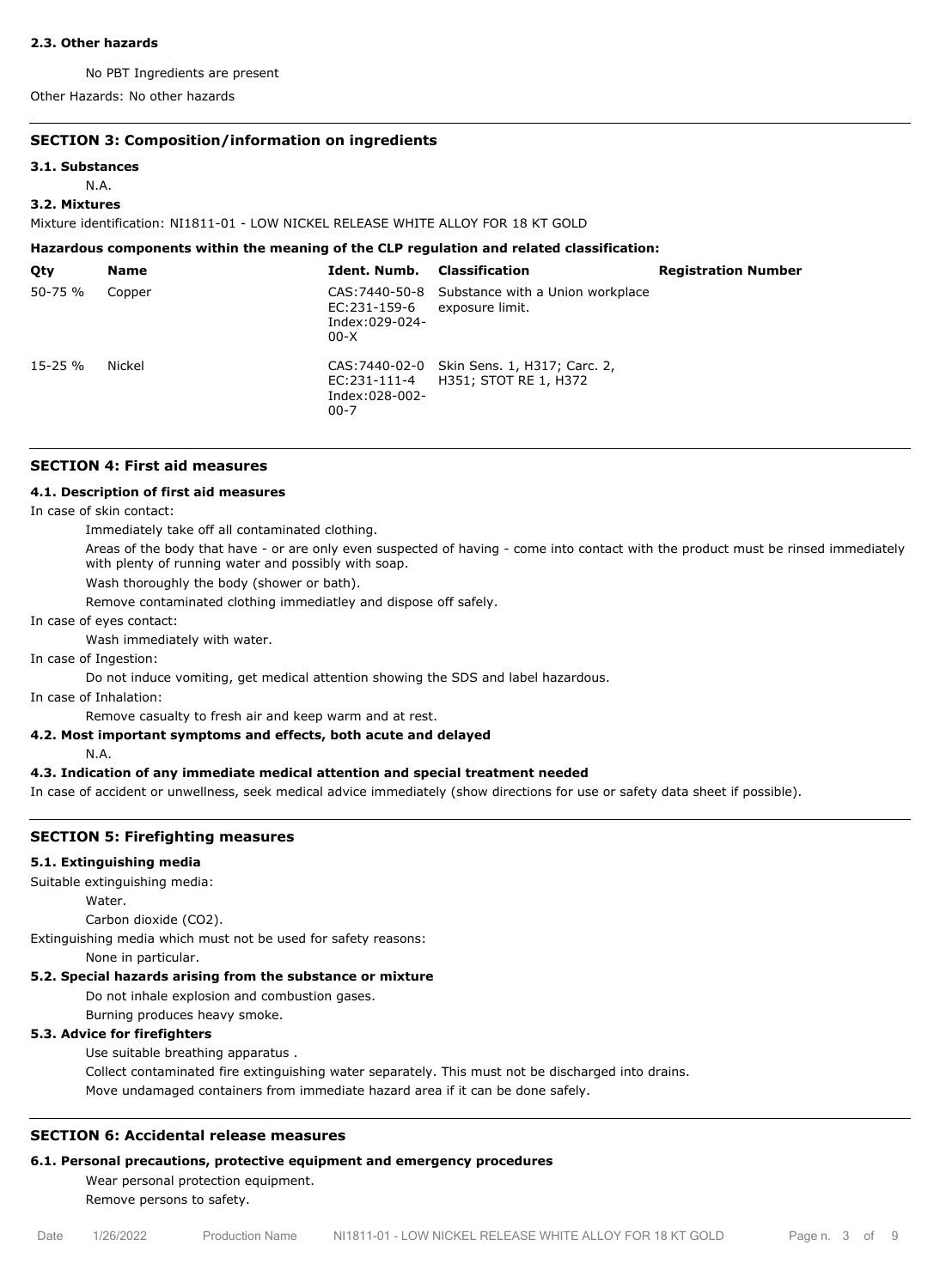#### **2.3. Other hazards**

No PBT Ingredients are present

Other Hazards: No other hazards

## **SECTION 3: Composition/information on ingredients**

#### **3.1. Substances**

N.A.

## **3.2. Mixtures**

Mixture identification: NI1811-01 - LOW NICKEL RELEASE WHITE ALLOY FOR 18 KT GOLD

#### **Hazardous components within the meaning of the CLP regulation and related classification:**

| Qty          | <b>Name</b> | Ident. Numb.                               | Classification                                                       | <b>Registration Number</b> |
|--------------|-------------|--------------------------------------------|----------------------------------------------------------------------|----------------------------|
| $50 - 75 %$  | Copper      | EC:231-159-6<br>Index:029-024-<br>$00-X$   | CAS: 7440-50-8 Substance with a Union workplace<br>exposure limit.   |                            |
| $15 - 25 \%$ | Nickel      | EC:231-111-4<br>Index:028-002-<br>$00 - 7$ | CAS: 7440-02-0 Skin Sens. 1, H317; Carc. 2,<br>H351; STOT RE 1, H372 |                            |

## **SECTION 4: First aid measures**

#### **4.1. Description of first aid measures**

In case of skin contact:

Immediately take off all contaminated clothing.

Areas of the body that have - or are only even suspected of having - come into contact with the product must be rinsed immediately with plenty of running water and possibly with soap.

Wash thoroughly the body (shower or bath).

Remove contaminated clothing immediatley and dispose off safely.

In case of eyes contact:

Wash immediately with water.

In case of Ingestion:

Do not induce vomiting, get medical attention showing the SDS and label hazardous.

In case of Inhalation:

Remove casualty to fresh air and keep warm and at rest.

## **4.2. Most important symptoms and effects, both acute and delayed**

N.A.

## **4.3. Indication of any immediate medical attention and special treatment needed**

In case of accident or unwellness, seek medical advice immediately (show directions for use or safety data sheet if possible).

### **SECTION 5: Firefighting measures**

## **5.1. Extinguishing media**

Suitable extinguishing media:

Water.

Carbon dioxide (CO2).

Extinguishing media which must not be used for safety reasons:

None in particular.

## **5.2. Special hazards arising from the substance or mixture**

Do not inhale explosion and combustion gases.

Burning produces heavy smoke.

### **5.3. Advice for firefighters**

Use suitable breathing apparatus .

Collect contaminated fire extinguishing water separately. This must not be discharged into drains. Move undamaged containers from immediate hazard area if it can be done safely.

## **SECTION 6: Accidental release measures**

## **6.1. Personal precautions, protective equipment and emergency procedures**

Wear personal protection equipment. Remove persons to safety.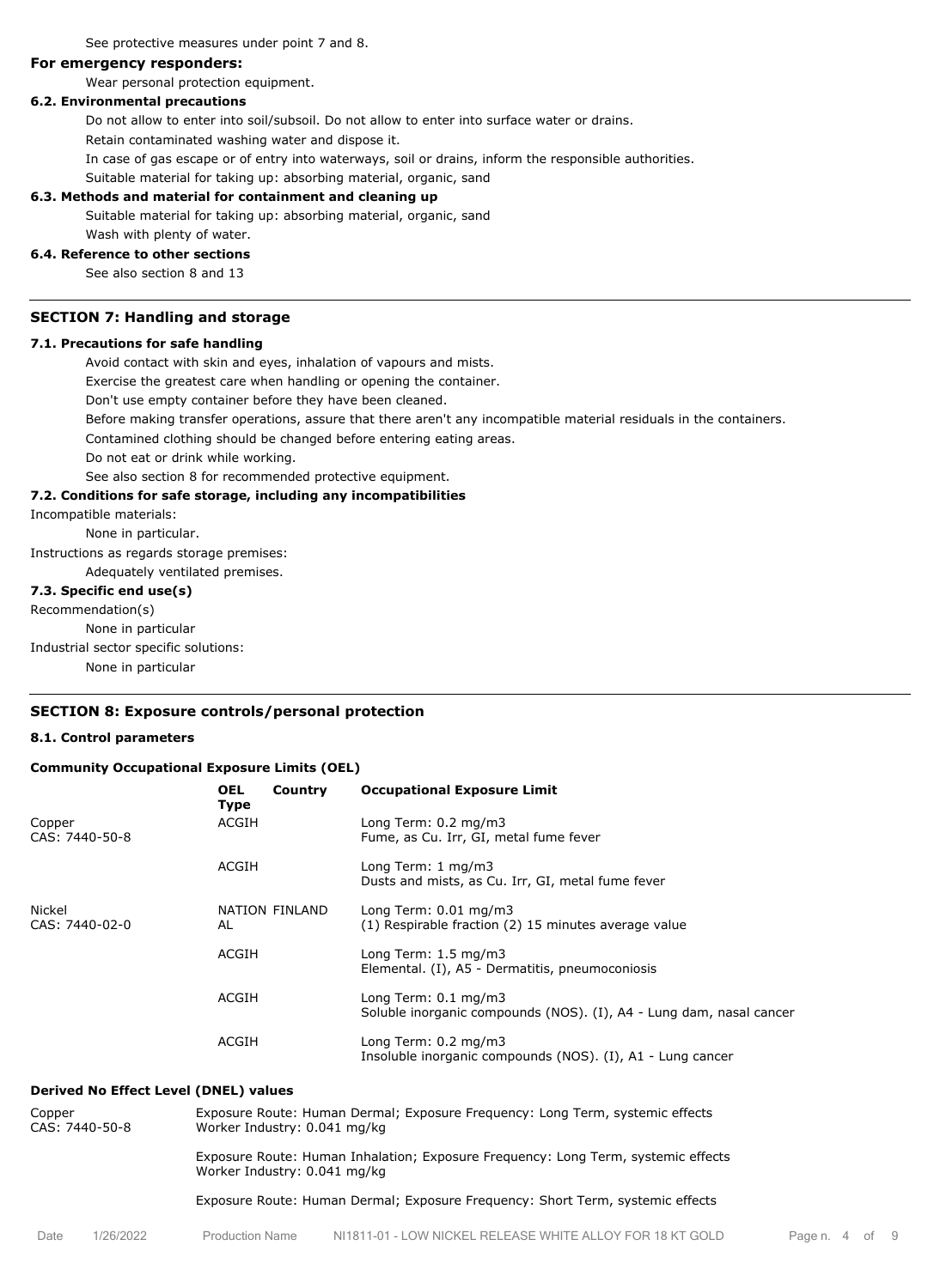See protective measures under point 7 and 8.

### **For emergency responders:**

Wear personal protection equipment.

#### **6.2. Environmental precautions**

Do not allow to enter into soil/subsoil. Do not allow to enter into surface water or drains.

Retain contaminated washing water and dispose it.

In case of gas escape or of entry into waterways, soil or drains, inform the responsible authorities.

Suitable material for taking up: absorbing material, organic, sand

#### **6.3. Methods and material for containment and cleaning up**

Suitable material for taking up: absorbing material, organic, sand Wash with plenty of water.

#### **6.4. Reference to other sections**

See also section 8 and 13

## **SECTION 7: Handling and storage**

#### **7.1. Precautions for safe handling**

Avoid contact with skin and eyes, inhalation of vapours and mists.

Exercise the greatest care when handling or opening the container.

Don't use empty container before they have been cleaned.

Before making transfer operations, assure that there aren't any incompatible material residuals in the containers.

Contamined clothing should be changed before entering eating areas.

Do not eat or drink while working.

See also section 8 for recommended protective equipment.

## **7.2. Conditions for safe storage, including any incompatibilities**

Incompatible materials:

None in particular.

Instructions as regards storage premises:

Adequately ventilated premises.

## **7.3. Specific end use(s)**

Recommendation(s)

None in particular

Industrial sector specific solutions:

None in particular

## **SECTION 8: Exposure controls/personal protection**

#### **8.1. Control parameters**

#### **Community Occupational Exposure Limits (OEL)**

|                          | <b>OEL</b><br>Country<br><b>Type</b> | <b>Occupational Exposure Limit</b>                                                                     |
|--------------------------|--------------------------------------|--------------------------------------------------------------------------------------------------------|
| Copper<br>CAS: 7440-50-8 | ACGIH                                | Long Term: $0.2 \text{ mg/m}$ 3<br>Fume, as Cu. Irr, GI, metal fume fever                              |
|                          | <b>ACGIH</b>                         | Long Term: 1 mg/m3<br>Dusts and mists, as Cu. Irr, GI, metal fume fever                                |
| Nickel<br>CAS: 7440-02-0 | NATION FINLAND<br>AL                 | Long Term: $0.01$ mg/m3<br>(1) Respirable fraction (2) 15 minutes average value                        |
|                          | <b>ACGIH</b>                         | Long Term: 1.5 mg/m3<br>Elemental. (I), A5 - Dermatitis, pneumoconiosis                                |
|                          | <b>ACGIH</b>                         | Long Term: $0.1 \text{ mg/m}$ 3<br>Soluble inorganic compounds (NOS). (I), A4 - Lung dam, nasal cancer |
|                          | <b>ACGIH</b>                         | Long Term: 0.2 mg/m3<br>Insoluble inorganic compounds (NOS). (I), A1 - Lung cancer                     |

#### **Derived No Effect Level (DNEL) values**

| Copper<br>CAS: 7440-50-8 |           |                        | Exposure Route: Human Dermal; Exposure Frequency: Long Term, systemic effects<br>Worker Industry: 0.041 mg/kg     |                |  |  |
|--------------------------|-----------|------------------------|-------------------------------------------------------------------------------------------------------------------|----------------|--|--|
|                          |           |                        | Exposure Route: Human Inhalation; Exposure Frequency: Long Term, systemic effects<br>Worker Industry: 0.041 mg/kg |                |  |  |
|                          |           |                        | Exposure Route: Human Dermal; Exposure Frequency: Short Term, systemic effects                                    |                |  |  |
| Date                     | 1/26/2022 | <b>Production Name</b> | NI1811-01 - LOW NICKEL RELEASE WHITE ALLOY FOR 18 KT GOLD                                                         | Page n. 4 of 9 |  |  |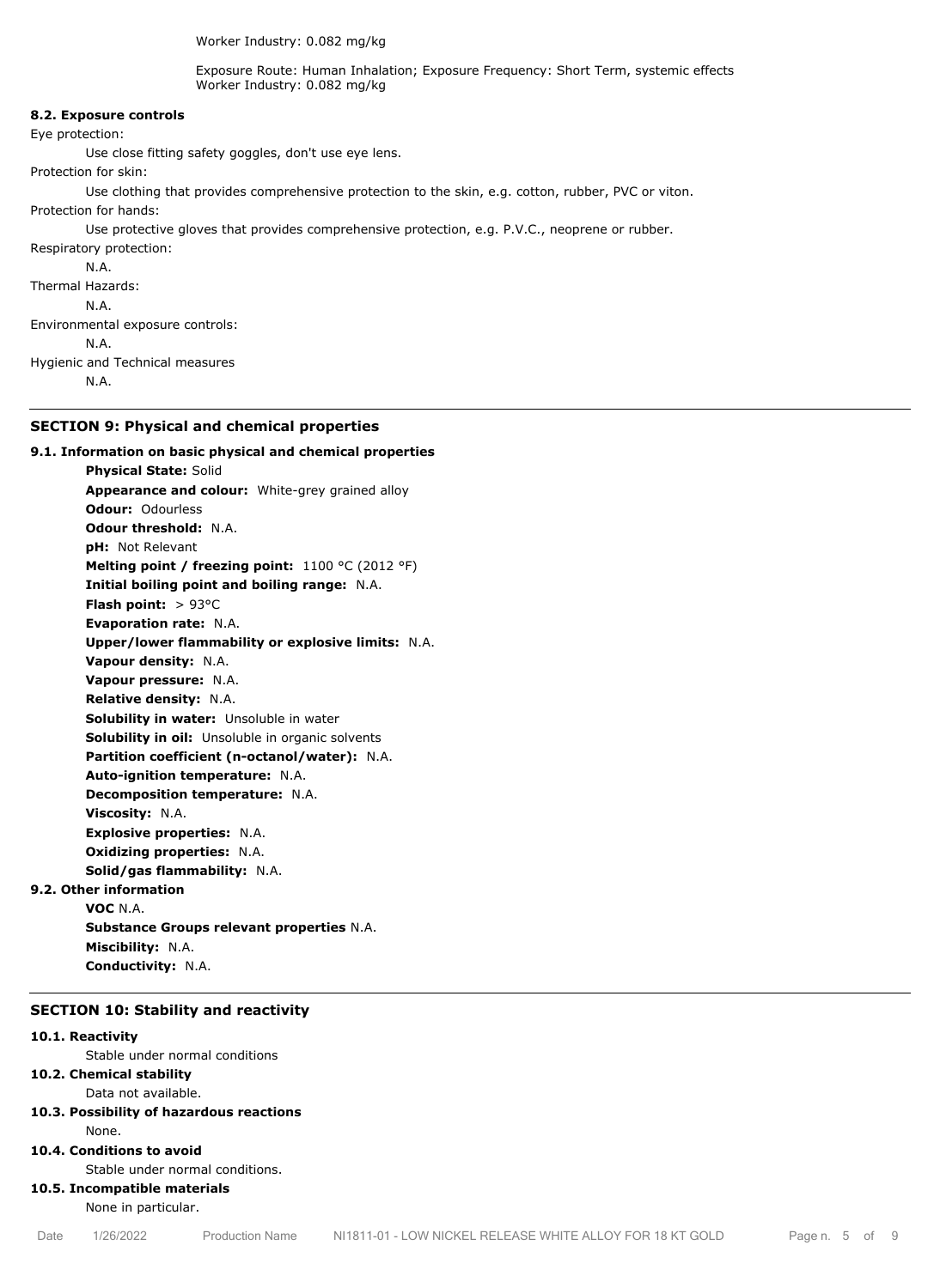Worker Industry: 0.082 mg/kg

Exposure Route: Human Inhalation; Exposure Frequency: Short Term, systemic effects Worker Industry: 0.082 mg/kg

## **8.2. Exposure controls** Eye protection: Use close fitting safety goggles, don't use eye lens. Protection for skin: Use clothing that provides comprehensive protection to the skin, e.g. cotton, rubber, PVC or viton. Protection for hands: Use protective gloves that provides comprehensive protection, e.g. P.V.C., neoprene or rubber. Respiratory protection: N.A. Thermal Hazards: N.A. Environmental exposure controls: N.A. Hygienic and Technical measures N.A.

## **SECTION 9: Physical and chemical properties**

**9.1. Information on basic physical and chemical properties Physical State:** Solid **Appearance and colour:** White-grey grained alloy **Odour:** Odourless **Odour threshold:** N.A. **pH:** Not Relevant **Melting point / freezing point:** 1100 °C (2012 °F) **Initial boiling point and boiling range:** N.A. **Flash point:** > 93°C **Evaporation rate:** N.A. **Upper/lower flammability or explosive limits:** N.A. **Vapour density:** N.A. **Vapour pressure:** N.A. **Relative density:** N.A. **Solubility in water:** Unsoluble in water **Solubility in oil:** Unsoluble in organic solvents **Partition coefficient (n-octanol/water):** N.A. **Auto-ignition temperature:** N.A. **Decomposition temperature:** N.A. **Viscosity:** N.A. **Explosive properties:** N.A. **Oxidizing properties:** N.A. **Solid/gas flammability:** N.A. **9.2. Other information VOC** N.A. **Substance Groups relevant properties** N.A. **Miscibility:** N.A.

**Conductivity:** N.A.

#### **SECTION 10: Stability and reactivity**

#### **10.1. Reactivity**

Stable under normal conditions

## **10.2. Chemical stability**

Data not available.

**10.3. Possibility of hazardous reactions** None.

#### **10.4. Conditions to avoid**

Stable under normal conditions.

**10.5. Incompatible materials**

None in particular.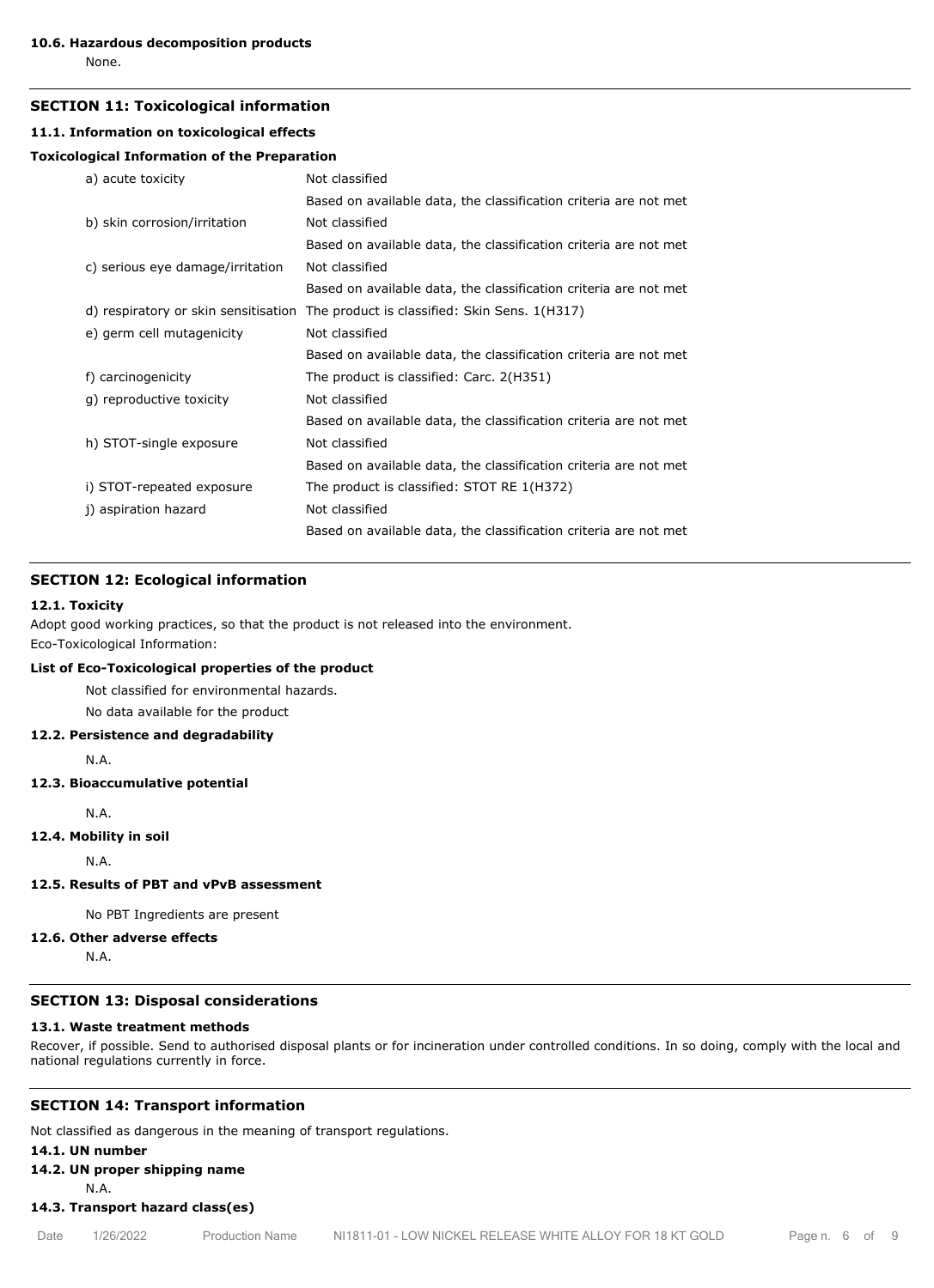None.

#### **SECTION 11: Toxicological information**

#### **11.1. Information on toxicological effects**

## **Toxicological Information of the Preparation**

| a) acute toxicity                    | Not classified                                                   |  |  |
|--------------------------------------|------------------------------------------------------------------|--|--|
|                                      | Based on available data, the classification criteria are not met |  |  |
| b) skin corrosion/irritation         | Not classified                                                   |  |  |
|                                      | Based on available data, the classification criteria are not met |  |  |
| c) serious eye damage/irritation     | Not classified                                                   |  |  |
|                                      | Based on available data, the classification criteria are not met |  |  |
| d) respiratory or skin sensitisation | The product is classified: Skin Sens. 1(H317)                    |  |  |
| e) germ cell mutagenicity            | Not classified                                                   |  |  |
|                                      | Based on available data, the classification criteria are not met |  |  |
| f) carcinogenicity                   | The product is classified: Carc. 2(H351)                         |  |  |
| g) reproductive toxicity             | Not classified                                                   |  |  |
|                                      | Based on available data, the classification criteria are not met |  |  |
| h) STOT-single exposure              | Not classified                                                   |  |  |
|                                      | Based on available data, the classification criteria are not met |  |  |
| i) STOT-repeated exposure            | The product is classified: STOT RE 1(H372)                       |  |  |
| j) aspiration hazard                 | Not classified                                                   |  |  |
|                                      | Based on available data, the classification criteria are not met |  |  |

## **SECTION 12: Ecological information**

#### **12.1. Toxicity**

Adopt good working practices, so that the product is not released into the environment. Eco-Toxicological Information:

## **List of Eco-Toxicological properties of the product**

Not classified for environmental hazards.

No data available for the product

## **12.2. Persistence and degradability**

N.A.

## **12.3. Bioaccumulative potential**

N.A.

#### **12.4. Mobility in soil**

N.A.

#### **12.5. Results of PBT and vPvB assessment**

No PBT Ingredients are present

#### **12.6. Other adverse effects**

N.A.

## **SECTION 13: Disposal considerations**

#### **13.1. Waste treatment methods**

Recover, if possible. Send to authorised disposal plants or for incineration under controlled conditions. In so doing, comply with the local and national regulations currently in force.

## **SECTION 14: Transport information**

Not classified as dangerous in the meaning of transport regulations.

## **14.1. UN number**

**14.2. UN proper shipping name**

N.A.

**14.3. Transport hazard class(es)**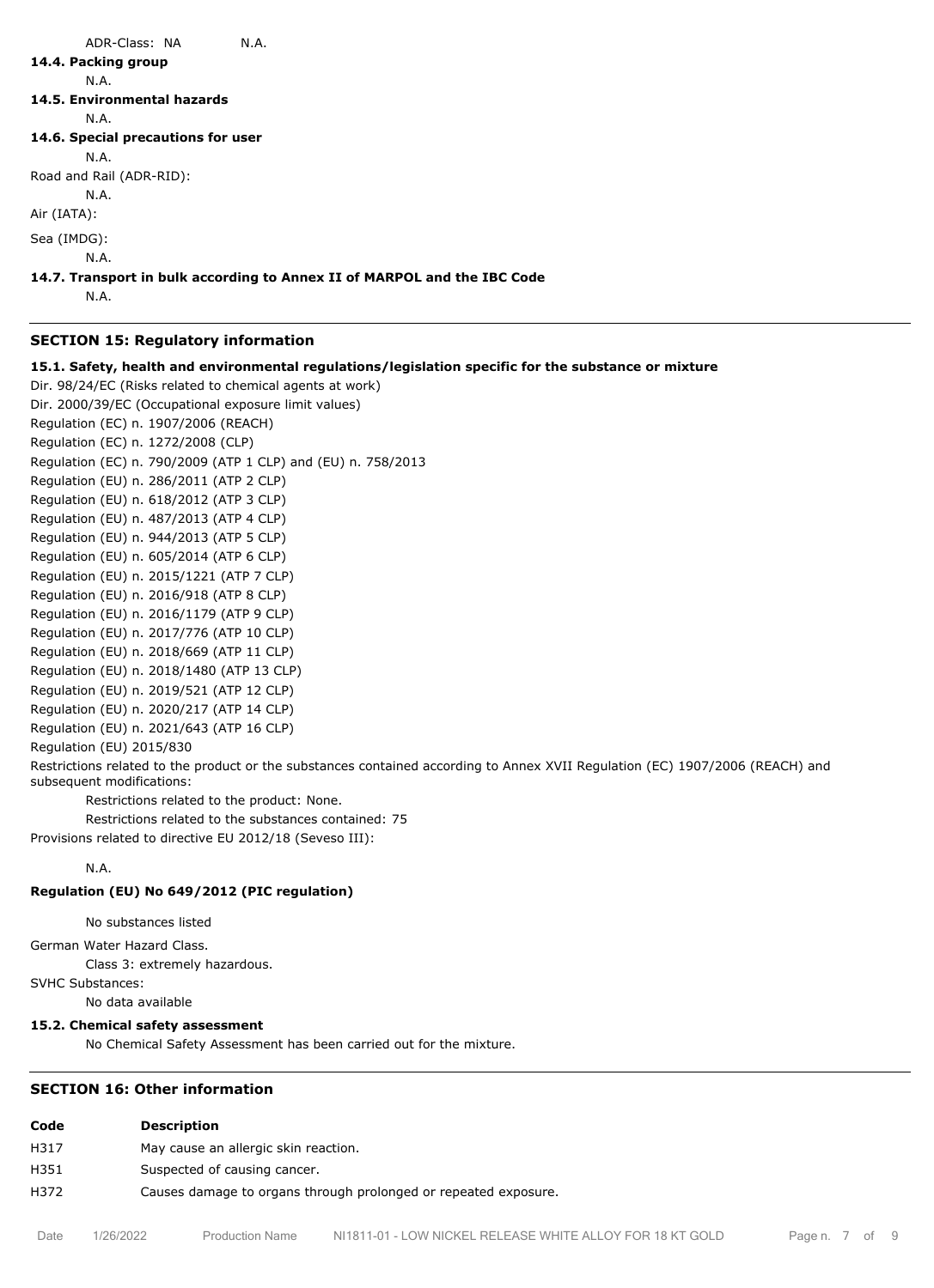## ADR-Class: NA N.A. **14.4. Packing group** N.A. **14.5. Environmental hazards** N.A. **14.6. Special precautions for user** N.A. Road and Rail (ADR-RID): N.A. Air (IATA): Sea (IMDG): N.A. **14.7. Transport in bulk according to Annex II of MARPOL and the IBC Code**

N.A.

## **SECTION 15: Regulatory information**

**15.1. Safety, health and environmental regulations/legislation specific for the substance or mixture**

Dir. 98/24/EC (Risks related to chemical agents at work)

Dir. 2000/39/EC (Occupational exposure limit values) Regulation (EC) n. 1907/2006 (REACH) Regulation (EC) n. 1272/2008 (CLP) Regulation (EC) n. 790/2009 (ATP 1 CLP) and (EU) n. 758/2013 Regulation (EU) n. 286/2011 (ATP 2 CLP) Regulation (EU) n. 618/2012 (ATP 3 CLP) Regulation (EU) n. 487/2013 (ATP 4 CLP) Regulation (EU) n. 944/2013 (ATP 5 CLP) Regulation (EU) n. 605/2014 (ATP 6 CLP) Regulation (EU) n. 2015/1221 (ATP 7 CLP) Regulation (EU) n. 2016/918 (ATP 8 CLP) Regulation (EU) n. 2016/1179 (ATP 9 CLP) Regulation (EU) n. 2017/776 (ATP 10 CLP) Regulation (EU) n. 2018/669 (ATP 11 CLP) Regulation (EU) n. 2018/1480 (ATP 13 CLP) Regulation (EU) n. 2019/521 (ATP 12 CLP) Regulation (EU) n. 2020/217 (ATP 14 CLP) Regulation (EU) n. 2021/643 (ATP 16 CLP)

Regulation (EU) 2015/830

Restrictions related to the product or the substances contained according to Annex XVII Regulation (EC) 1907/2006 (REACH) and subsequent modifications:

Restrictions related to the product: None.

Restrictions related to the substances contained: 75

Provisions related to directive EU 2012/18 (Seveso III):

## N.A.

#### **Regulation (EU) No 649/2012 (PIC regulation)**

No substances listed

German Water Hazard Class.

Class 3: extremely hazardous.

SVHC Substances:

No data available

## **15.2. Chemical safety assessment**

No Chemical Safety Assessment has been carried out for the mixture.

## **SECTION 16: Other information**

| Code | <b>Description</b>                                              |
|------|-----------------------------------------------------------------|
| H317 | May cause an allergic skin reaction.                            |
| H351 | Suspected of causing cancer.                                    |
| H372 | Causes damage to organs through prolonged or repeated exposure. |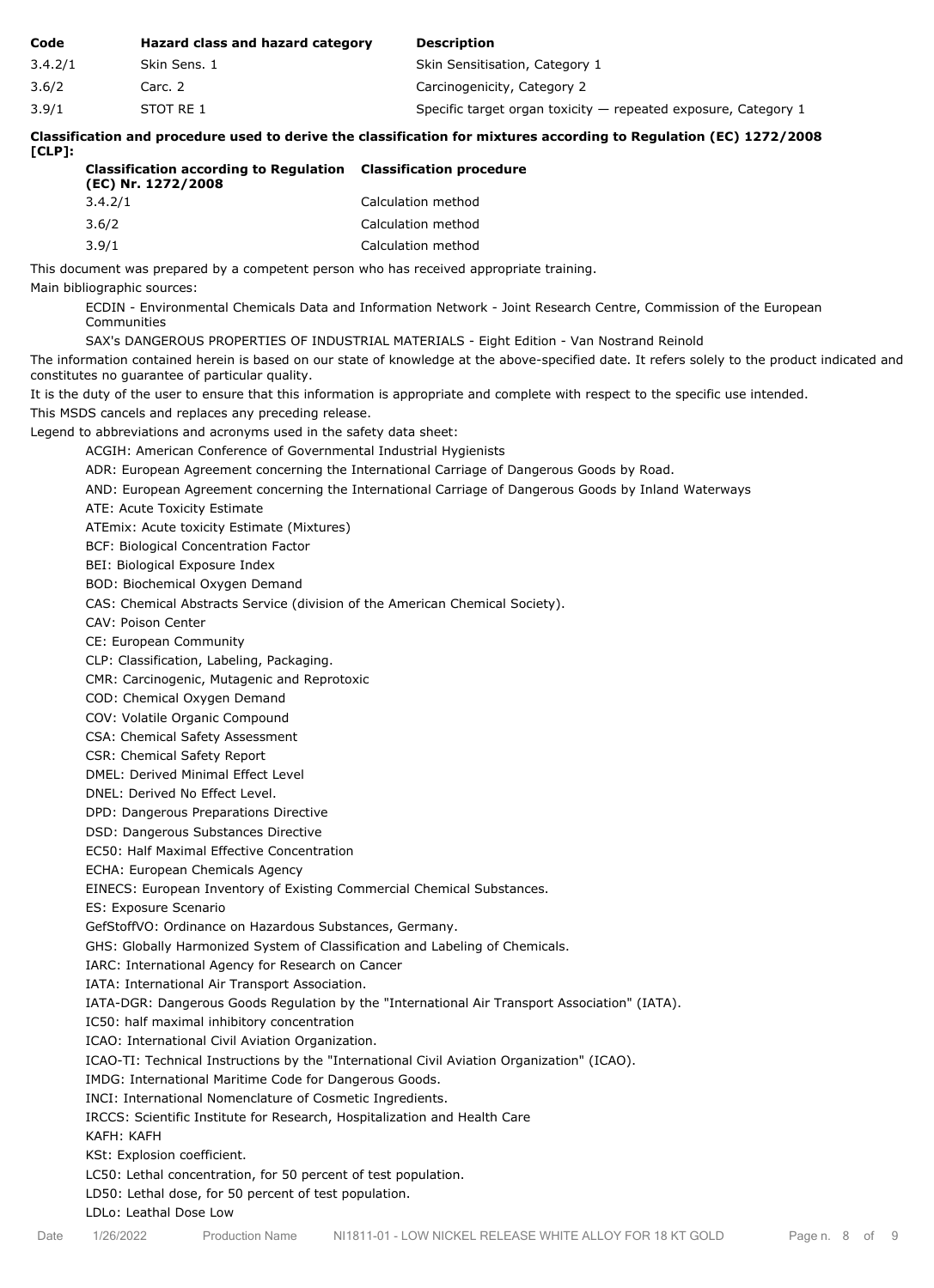| Code    | Hazard class and hazard category | <b>Description</b>                                               |
|---------|----------------------------------|------------------------------------------------------------------|
| 3.4.2/1 | Skin Sens. 1                     | Skin Sensitisation, Category 1                                   |
| 3.6/2   | Carc. 2                          | Carcinogenicity, Category 2                                      |
| 3.9/1   | STOT RE 1                        | Specific target organ toxicity $-$ repeated exposure, Category 1 |

**Classification and procedure used to derive the classification for mixtures according to Regulation (EC) 1272/2008 [CLP]:**

| <b>Classification according to Regulation Classification procedure</b><br>(EC) Nr. 1272/2008 |                    |
|----------------------------------------------------------------------------------------------|--------------------|
| 3.4.2/1                                                                                      | Calculation method |
| 3.6/2                                                                                        | Calculation method |
| 3.9/1                                                                                        | Calculation method |

This document was prepared by a competent person who has received appropriate training.

Main bibliographic sources:

ECDIN - Environmental Chemicals Data and Information Network - Joint Research Centre, Commission of the European Communities

SAX's DANGEROUS PROPERTIES OF INDUSTRIAL MATERIALS - Eight Edition - Van Nostrand Reinold

The information contained herein is based on our state of knowledge at the above-specified date. It refers solely to the product indicated and constitutes no guarantee of particular quality.

It is the duty of the user to ensure that this information is appropriate and complete with respect to the specific use intended.

This MSDS cancels and replaces any preceding release.

Legend to abbreviations and acronyms used in the safety data sheet:

ACGIH: American Conference of Governmental Industrial Hygienists

ADR: European Agreement concerning the International Carriage of Dangerous Goods by Road.

AND: European Agreement concerning the International Carriage of Dangerous Goods by Inland Waterways

ATE: Acute Toxicity Estimate

ATEmix: Acute toxicity Estimate (Mixtures)

BCF: Biological Concentration Factor

BEI: Biological Exposure Index

BOD: Biochemical Oxygen Demand

CAS: Chemical Abstracts Service (division of the American Chemical Society).

CAV: Poison Center

CE: European Community

CLP: Classification, Labeling, Packaging.

CMR: Carcinogenic, Mutagenic and Reprotoxic

COD: Chemical Oxygen Demand

COV: Volatile Organic Compound

CSA: Chemical Safety Assessment

CSR: Chemical Safety Report

DMEL: Derived Minimal Effect Level

DNEL: Derived No Effect Level.

DPD: Dangerous Preparations Directive

DSD: Dangerous Substances Directive

EC50: Half Maximal Effective Concentration

ECHA: European Chemicals Agency

EINECS: European Inventory of Existing Commercial Chemical Substances.

ES: Exposure Scenario

GefStoffVO: Ordinance on Hazardous Substances, Germany.

GHS: Globally Harmonized System of Classification and Labeling of Chemicals.

IARC: International Agency for Research on Cancer

IATA: International Air Transport Association.

IATA-DGR: Dangerous Goods Regulation by the "International Air Transport Association" (IATA).

IC50: half maximal inhibitory concentration

ICAO: International Civil Aviation Organization.

ICAO-TI: Technical Instructions by the "International Civil Aviation Organization" (ICAO).

IMDG: International Maritime Code for Dangerous Goods.

INCI: International Nomenclature of Cosmetic Ingredients.

IRCCS: Scientific Institute for Research, Hospitalization and Health Care

KAFH: KAFH

KSt: Explosion coefficient.

LC50: Lethal concentration, for 50 percent of test population.

LD50: Lethal dose, for 50 percent of test population.

LDLo: Leathal Dose Low